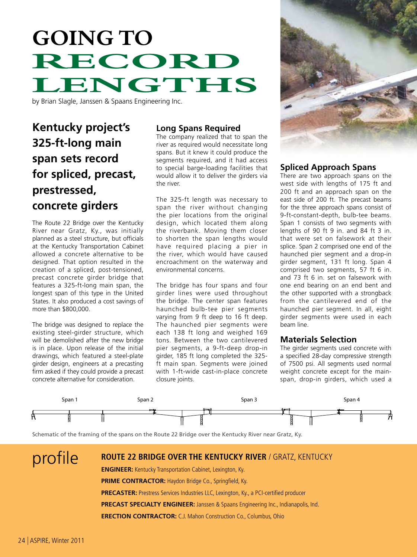# **Going to Record LENGTHS**

by Brian Slagle, Janssen & Spaans Engineering Inc.

# **Kentucky project's 325-ft-long main span sets record for spliced, precast, prestressed, concrete girders**

The Route 22 Bridge over the Kentucky River near Gratz, Ky., was initially planned as a steel structure, but officials at the Kentucky Transportation Cabinet allowed a concrete alternative to be designed. That option resulted in the creation of a spliced, post-tensioned, precast concrete girder bridge that features a 325-ft-long main span, the longest span of this type in the United States. It also produced a cost savings of more than \$800,000.

The bridge was designed to replace the existing steel-girder structure, which will be demolished after the new bridge is in place. Upon release of the initial drawings, which featured a steel-plate girder design, engineers at a precasting firm asked if they could provide a precast concrete alternative for consideration.

# **Long Spans Required**

The company realized that to span the river as required would necessitate long spans. But it knew it could produce the segments required, and it had access to special barge-loading facilities that would allow it to deliver the girders via the river.

The 325-ft length was necessary to span the river without changing the pier locations from the original design, which located them along the riverbank. Moving them closer to shorten the span lengths would have required placing a pier in the river, which would have caused encroachment on the waterway and environmental concerns.

The bridge has four spans and four girder lines were used throughout the bridge. The center span features haunched bulb-tee pier segments varying from 9 ft deep to 16 ft deep. The haunched pier segments were each 138 ft long and weighed 169 tons. Between the two cantilevered pier segments, a 9-ft-deep drop-in girder, 185 ft long completed the 325 ft main span. Segments were joined with 1-ft-wide cast-in-place concrete closure joints.



# **Spliced Approach Spans**

There are two approach spans on the west side with lengths of 175 ft and 200 ft and an approach span on the east side of 200 ft. The precast beams for the three approach spans consist of 9-ft-constant-depth, bulb-tee beams. Span 1 consists of two segments with lengths of 90 ft 9 in. and 84 ft 3 in. that were set on falsework at their splice. Span 2 comprised one end of the haunched pier segment and a drop-in girder segment, 131 ft long. Span 4 comprised two segments, 57 ft 6 in. and 73 ft 6 in. set on falsework with one end bearing on an end bent and the other supported with a strongback from the cantilevered end of the haunched pier segment. In all, eight girder segments were used in each beam line.

## **Materials Selection**

The girder segments used concrete with a specified 28-day compressive strength of 7500 psi. All segments used normal weight concrete except for the mainspan, drop-in girders, which used a



Schematic of the framing of the spans on the Route 22 Bridge over the Kentucky River near Gratz, Ky.

# profile **route 22 bridge over the kentucky river** / gratz, kentucky

**ENGINEER:** Kentucky Transportation Cabinet, Lexington, Ky.

**PRIME CONTRACTOR: Haydon Bridge Co., Springfield, Ky.** 

**precaster:** Prestress Services Industries LLC, Lexington, Ky., a PCI-certified producer

**precast specialty engineer:** Janssen & Spaans Engineering Inc., Indianapolis, Ind.

**ERECTION CONTRACTOR:** C.J. Mahon Construction Co., Columbus, Ohio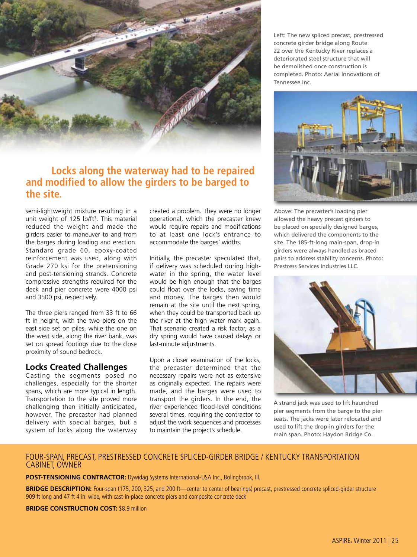

# **Locks along the waterway had to be repaired and modified to allow the girders to be barged to the site.**

semi-lightweight mixture resulting in a unit weight of 125 lb/ft<sup>3</sup>. This material reduced the weight and made the girders easier to maneuver to and from the barges during loading and erection. Standard grade 60, epoxy-coated reinforcement was used, along with Grade 270 ksi for the pretensioning and post-tensioning strands. Concrete compressive strengths required for the deck and pier concrete were 4000 psi and 3500 psi, respectively.

The three piers ranged from 33 ft to 66 ft in height, with the two piers on the east side set on piles, while the one on the west side, along the river bank, was set on spread footings due to the close proximity of sound bedrock.

## **Locks Created Challenges**

Casting the segments posed no challenges, especially for the shorter spans, which are more typical in length. Transportation to the site proved more challenging than initially anticipated, however. The precaster had planned delivery with special barges, but a system of locks along the waterway

created a problem. They were no longer operational, which the precaster knew would require repairs and modifications to at least one lock's entrance to accommodate the barges' widths.

Initially, the precaster speculated that, if delivery was scheduled during highwater in the spring, the water level would be high enough that the barges could float over the locks, saving time and money. The barges then would remain at the site until the next spring, when they could be transported back up the river at the high water mark again. That scenario created a risk factor, as a dry spring would have caused delays or last-minute adjustments.

Upon a closer examination of the locks, the precaster determined that the necessary repairs were not as extensive as originally expected. The repairs were made, and the barges were used to transport the girders. In the end, the river experienced flood-level conditions several times, requiring the contractor to adjust the work sequences and processes to maintain the project's schedule.

Left: The new spliced precast, prestressed concrete girder bridge along Route 22 over the Kentucky River replaces a deteriorated steel structure that will be demolished once construction is completed. Photo: Aerial Innovations of Tennessee Inc.



Above: The precaster's loading pier allowed the heavy precast girders to be placed on specially designed barges, which delivered the components to the site. The 185-ft-long main-span, drop-in girders were always handled as braced pairs to address stability concerns. Photo: Prestress Services Industries LLC.



A strand jack was used to lift haunched pier segments from the barge to the pier seats. The jacks were later relocated and used to lift the drop-in girders for the main span. Photo: Haydon Bridge Co.

#### FOUR-SPAN, PRECAST, PRESTRESSED CONCRETE SPLICED-GIRDER BRIDGE / KENTUCKY TRANSPORTATION CABINET, OWNER

**POST-TENSIONING CONTRACTOR:** Dywidag Systems International-USA Inc., Bolingbrook, Ill.

BRIDGE DESCRIPTION: Four-span (175, 200, 325, and 200 ft—center to center of bearings) precast, prestressed concrete spliced-girder structure 909 ft long and 47 ft 4 in. wide, with cast-in-place concrete piers and composite concrete deck

**BRIDGE CONSTRUCTION COST: \$8.9 million**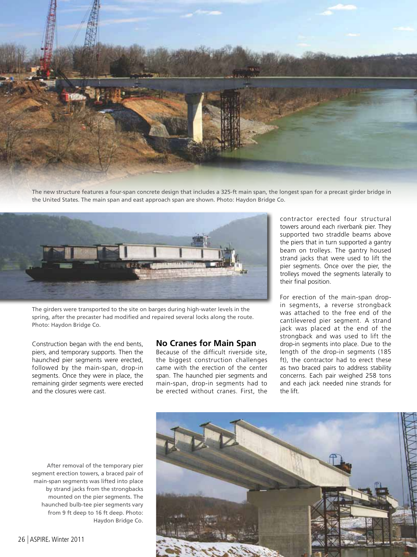

The new structure features a four-span concrete design that includes a 325-ft main span, the longest span for a precast girder bridge in the United States. The main span and east approach span are shown. Photo: Haydon Bridge Co.



The girders were transported to the site on barges during high-water levels in the spring, after the precaster had modified and repaired several locks along the route. Photo: Haydon Bridge Co.

Construction began with the end bents, piers, and temporary supports. Then the haunched pier segments were erected, followed by the main-span, drop-in segments. Once they were in place, the remaining girder segments were erected and the closures were cast.

#### **No Cranes for Main Span**

Because of the difficult riverside site, the biggest construction challenges came with the erection of the center span. The haunched pier segments and main-span, drop-in segments had to be erected without cranes. First, the

contractor erected four structural towers around each riverbank pier. They supported two straddle beams above the piers that in turn supported a gantry beam on trolleys. The gantry housed strand jacks that were used to lift the pier segments. Once over the pier, the trolleys moved the segments laterally to their final position.

For erection of the main-span dropin segments, a reverse strongback was attached to the free end of the cantilevered pier segment. A strand jack was placed at the end of the strongback and was used to lift the drop-in segments into place. Due to the length of the drop-in segments (185 ft), the contractor had to erect these as two braced pairs to address stability concerns. Each pair weighed 258 tons and each jack needed nine strands for the lift.

After removal of the temporary pier segment erection towers, a braced pair of main-span segments was lifted into place by strand jacks from the strongbacks mounted on the pier segments. The haunched bulb-tee pier segments vary from 9 ft deep to 16 ft deep. Photo: Haydon Bridge Co.